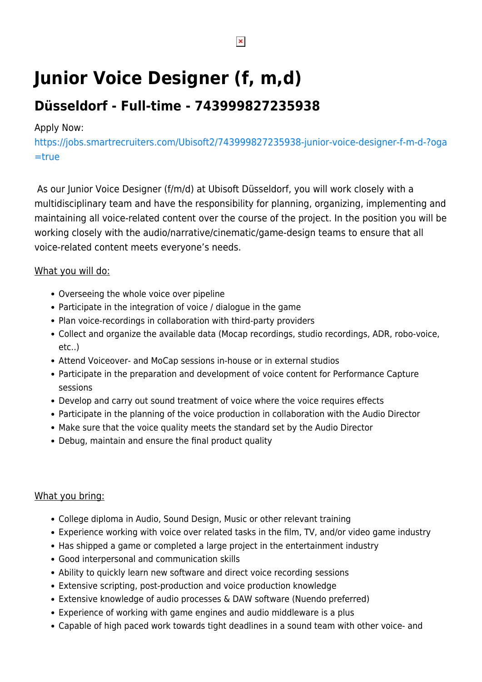# **Junior Voice Designer (f, m,d)**

# **Düsseldorf - Full-time - 743999827235938**

### Apply Now:

[https://jobs.smartrecruiters.com/Ubisoft2/743999827235938-junior-voice-designer-f-m-d-?oga](https://jobs.smartrecruiters.com/Ubisoft2/743999827235938-junior-voice-designer-f-m-d-?oga=true) [=true](https://jobs.smartrecruiters.com/Ubisoft2/743999827235938-junior-voice-designer-f-m-d-?oga=true)

As our Junior Voice Designer (f/m/d) at Ubisoft Düsseldorf, you will work closely with a multidisciplinary team and have the responsibility for planning, organizing, implementing and maintaining all voice-related content over the course of the project. In the position you will be working closely with the audio/narrative/cinematic/game-design teams to ensure that all voice-related content meets everyone's needs.

#### What you will do:

- Overseeing the whole voice over pipeline
- Participate in the integration of voice / dialogue in the game
- Plan voice-recordings in collaboration with third-party providers
- Collect and organize the available data (Mocap recordings, studio recordings, ADR, robo-voice, etc..)
- Attend Voiceover- and MoCap sessions in-house or in external studios
- Participate in the preparation and development of voice content for Performance Capture sessions
- Develop and carry out sound treatment of voice where the voice requires effects
- Participate in the planning of the voice production in collaboration with the Audio Director
- Make sure that the voice quality meets the standard set by the Audio Director
- Debug, maintain and ensure the final product quality

## What you bring:

- College diploma in Audio, Sound Design, Music or other relevant training
- Experience working with voice over related tasks in the film, TV, and/or video game industry
- Has shipped a game or completed a large project in the entertainment industry
- Good interpersonal and communication skills
- Ability to quickly learn new software and direct voice recording sessions
- Extensive scripting, post-production and voice production knowledge
- Extensive knowledge of audio processes & DAW software (Nuendo preferred)
- Experience of working with game engines and audio middleware is a plus
- Capable of high paced work towards tight deadlines in a sound team with other voice- and

 $\pmb{\times}$